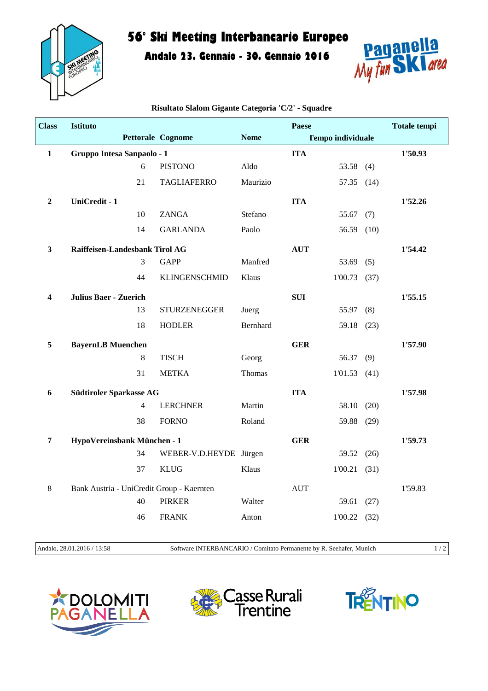

## **56° Ski Meeting Interbancario Europeo**

**Andalo 23. Gennaio - 30. Gennaio 2016**



| <b>Class</b>     | Istituto                                  |                        |             | Paese                    |            | <b>Totale tempi</b> |
|------------------|-------------------------------------------|------------------------|-------------|--------------------------|------------|---------------------|
|                  |                                           | Pettorale Cognome      | <b>Nome</b> | <b>Tempo individuale</b> |            |                     |
| $\mathbf{1}$     | Gruppo Intesa Sanpaolo - 1                |                        |             | <b>ITA</b>               |            | 1'50.93             |
|                  | 6                                         | <b>PISTONO</b>         | Aldo        | 53.58 (4)                |            |                     |
|                  | 21                                        | <b>TAGLIAFERRO</b>     | Maurizio    |                          | 57.35 (14) |                     |
| $\boldsymbol{2}$ | UniCredit - 1                             |                        |             | <b>ITA</b>               |            | 1'52.26             |
|                  | 10                                        | ZANGA                  | Stefano     | 55.67 $(7)$              |            |                     |
|                  | 14                                        | <b>GARLANDA</b>        | Paolo       |                          | 56.59 (10) |                     |
| $\mathbf{3}$     | Raiffeisen-Landesbank Tirol AG            |                        |             | <b>AUT</b>               |            | 1'54.42             |
|                  | 3                                         | <b>GAPP</b>            | Manfred     | 53.69 $(5)$              |            |                     |
|                  | 44                                        | <b>KLINGENSCHMID</b>   | Klaus       | $1'00.73$ (37)           |            |                     |
| 4                | <b>Julius Baer - Zuerich</b>              |                        |             | <b>SUI</b>               |            | 1'55.15             |
|                  | 13                                        | <b>STURZENEGGER</b>    | Juerg       | 55.97 (8)                |            |                     |
|                  | 18                                        | <b>HODLER</b>          | Bernhard    |                          | 59.18 (23) |                     |
| 5                | <b>BayernLB Muenchen</b>                  |                        |             | <b>GER</b>               |            | 1'57.90             |
|                  | 8                                         | <b>TISCH</b>           | Georg       | 56.37                    | (9)        |                     |
|                  | 31                                        | <b>METKA</b>           | Thomas      | 1'01.53(41)              |            |                     |
| 6                | Südtiroler Sparkasse AG                   |                        |             | <b>ITA</b>               |            | 1'57.98             |
|                  | $\overline{4}$                            | <b>LERCHNER</b>        | Martin      |                          | 58.10 (20) |                     |
|                  | 38                                        | <b>FORNO</b>           | Roland      |                          | 59.88 (29) |                     |
| $\overline{7}$   | HypoVereinsbank München - 1               |                        |             | <b>GER</b>               |            | 1'59.73             |
|                  | 34                                        | WEBER-V.D.HEYDE Jürgen |             |                          | 59.52 (26) |                     |
|                  | 37                                        | <b>KLUG</b>            | Klaus       | $1'00.21$ (31)           |            |                     |
| 8                | Bank Austria - UniCredit Group - Kaernten |                        |             | <b>AUT</b>               |            | 1'59.83             |
|                  | 40                                        | <b>PIRKER</b>          | Walter      | 59.61                    | (27)       |                     |
|                  | 46                                        | <b>FRANK</b>           | Anton       | $1'00.22$ (32)           |            |                     |
|                  |                                           |                        |             |                          |            |                     |

**Risultato Slalom Gigante Categoria 'C/2' - Squadre**

Andalo, 28.01.2016 / 13:58 Software INTERBANCARIO / Comitato Permanente by R. Seehafer, Munich 1 / 2

**LOMITI**